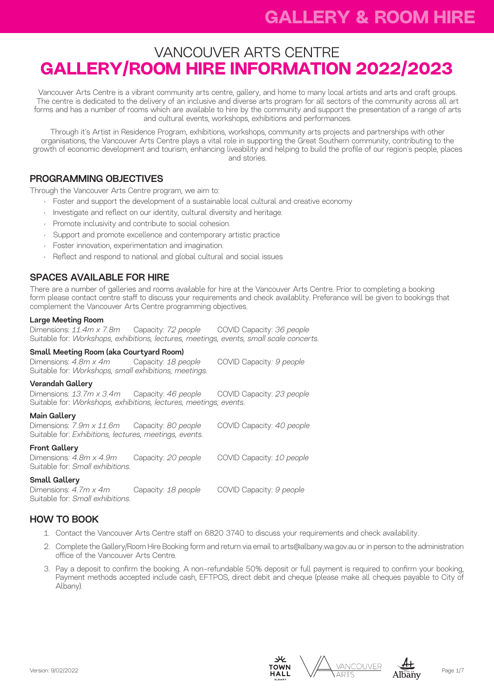# VANCOUVER ARTS CENTRE **GALLERY/ROOM HIRE INFORMATION 2022/2023**

Vancouver Arts Centre is a vibrant community arts centre, gallery, and home to many local artists and arts and craft groups. The centre is dedicated to the delivery of an inclusive and diverse arts program for all sectors of the community across all art forms and has a number of rooms which are available to hire by the community and support the presentation of a range of arts and cultural events, workshops, exhibitions and performances.

Through it's Artist in Residence Program, exhibitions, workshops, community arts projects and partnerships with other organisations, the Vancouver Arts Centre plays a vital role in supporting the Great Southern community, contributing to the growth of economic development and tourism, enhancing liveability and helping to build the profile of our region's people, places and stories.

## PROGRAMMING OBJECTIVES

Through the Vancouver Arts Centre program, we aim to:

- Foster and support the development of a sustainable local cultural and creative economy
- Investigate and reflect on our identity, cultural diversity and heritage.
- Promote inclusivity and contribute to social cohesion.
- Support and promote excellence and contemporary artistic practice
- Foster innovation, experimentation and imagination.
- Reflect and respond to national and global cultural and social issues

## SPACES AVAILABLE FOR HIRE

There are a number of galleries and rooms available for hire at the Vancouver Arts Centre. Prior to completing a booking form please contact centre staff to discuss your requirements and check availablity. Preferance will be given to bookings that complement the Vancouver Arts Centre programming objectives.

#### Large Meeting Room

Dimensions: *11.4m x 7.8m* Capacity: *72 people* COVID Capacity: *36 people* Suitable for: *Workshops, exhibitions, lectures, meetings, events, small scale concerts.*

#### Small Meeting Room (aka Courtyard Room)

Dimensions: *4.8m x 4m* Capacity: *18 people* COVID Capacity*: 9 people*  Suitable for: *Workshops, small exhibitions, meetings.*

#### Verandah Gallery

Dimensions: *13.7m x 3.4m* Capacity: *46 people* COVID Capacity: *23 people* Suitable for: *Workshops, exhibitions, lectures, meetings, events.*

#### Main Gallery

Dimensions: *7.9m x 11.6m* Capacity: *80 people* COVID Capacity: *40 people* Suitable for: *Exhibitions, lectures, meetings, events.*

#### Front Gallery

Dimensions*: 4.8m x 4.9m* Capacity: *20 people* COVID Capacity: *10 people* Suitable for: *Small exhibitions.*

#### Small Gallery

Dimensions: *4.7m x 4m* Capacity: *18 people* COVID Capacity: *9 people* Suitable for: *Small exhibitions.*

## HOW TO BOOK

- 1. Contact the Vancouver Arts Centre staff on 6820 3740 to discuss your requirements and check availability.
- 2. Complete the Gallery/Room Hire Booking form and return via email to arts@albany.wa.gov.au or in person to the administration office of the Vancouver Arts Centre.
- 3. Pay a deposit to confirm the booking. A non-refundable 50% deposit or full payment is required to confirm your booking, Payment methods accepted include cash, EFTPOS, direct debit and cheque (please make all cheques payable to City of Albany).





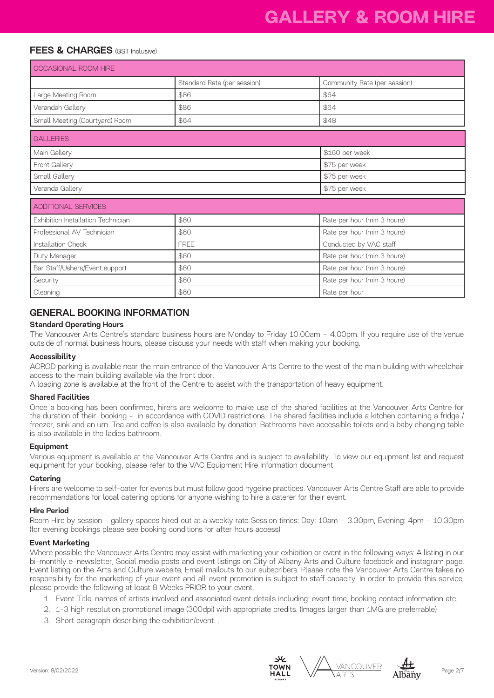# **GALLERY & ROOM HIRE**

## FEES & CHARGES (GST Inclusive)

| OCCASIONAL ROOM HIRE               |                             |                              |
|------------------------------------|-----------------------------|------------------------------|
|                                    | Standard Rate (per session) | Community Rate (per session) |
| Large Meeting Room                 | \$86                        | \$64                         |
| Verandah Gallery                   | \$86                        | \$64                         |
| Small Meeting (Courtyard) Room     | \$64                        | \$48                         |
| <b>GALLERIES</b>                   |                             |                              |
| Main Gallery                       |                             | \$160 per week               |
| Front Gallery                      |                             | \$75 per week                |
| Small Gallery                      |                             | \$75 per week                |
| Veranda Gallery                    |                             | \$75 per week                |
| <b>ADDITIONAL SERVICES</b>         |                             |                              |
| Exhibition Installation Technician | \$60                        | Rate per hour (min 3 hours)  |
| Professional AV Technician         | \$60                        | Rate per hour (min 3 hours)  |
| Installation Check                 | <b>FRFF</b>                 | Conducted by VAC staff       |
| Duty Manager                       | \$60                        | Rate per hour (min 3 hours)  |
| Bar Staff/Ushers/Event support     | \$60                        | Rate per hour (min 3 hours)  |
| Security                           | \$60                        | Rate per hour (min 3 hours)  |
| Cleaning                           | \$60                        | Rate per hour                |

### GENERAL BOOKING INFORMATION

#### Standard Operating Hours

The Vancouver Arts Centre's standard business hours are Monday to Friday 10.00am – 4.00pm. If you require use of the venue outside of normal business hours, please discuss your needs with staff when making your booking.

#### Accessibility

ACROD parking is available near the main entrance of the Vancouver Arts Centre to the west of the main building with wheelchair access to the main building available via the front door.

A loading zone is available at the front of the Centre to assist with the transportation of heavy equipment.

#### Shared Facilities

Once a booking has been confirmed, hirers are welcome to make use of the shared facilities at the Vancouver Arts Centre for the duration of their booking - in accordance with COVID restrictions. The shared facilities include a kitchen containing a fridge / freezer, sink and an urn. Tea and coffee is also available by donation. Bathrooms have accessible toilets and a baby changing table is also available in the ladies bathroom.

#### Equipment

Various equipment is available at the Vancouver Arts Centre and is subject to availability. To view our equipment list and request equipment for your booking, please refer to the VAC Equipment Hire Information document

#### **Catering**

Hirers are welcome to self-cater for events but must follow good hygeine practices. Vancouver Arts Centre Staff are able to provide recommendations for local catering options for anyone wishing to hire a caterer for their event.

#### Hire Period

Room Hire by session - gallery spaces hired out at a weekly rate Session times: Day: 10am – 3.30pm, Evening: 4pm – 10.30pm (for evening bookings please see booking conditions for after hours access)

#### Event Marketing

Where possible the Vancouver Arts Centre may assist with marketing your exhibition or event in the following ways: A listing in our bi-monthly e-newsletter, Social media posts and event listings on City of Albany Arts and Culture facebook and instagram page, Event listing on the Arts and Culture website, Email mailouts to our subscribers. Please note the Vancouver Arts Centre takes no responsibilty for the marketing of your event and all event promotion is subject to staff capacity. In order to provide this service, please provide the following at least 8 Weeks PRIOR to your event.

- 1. Event Title, names of artists involved and associated event details including: event time, booking contact information etc.
- 2. 1-3 high resolution promotional image (300dpi) with appropriate credits. (Images larger than 1MG are preferrable)
- 3. Short paragraph describing the exhibition/event. .





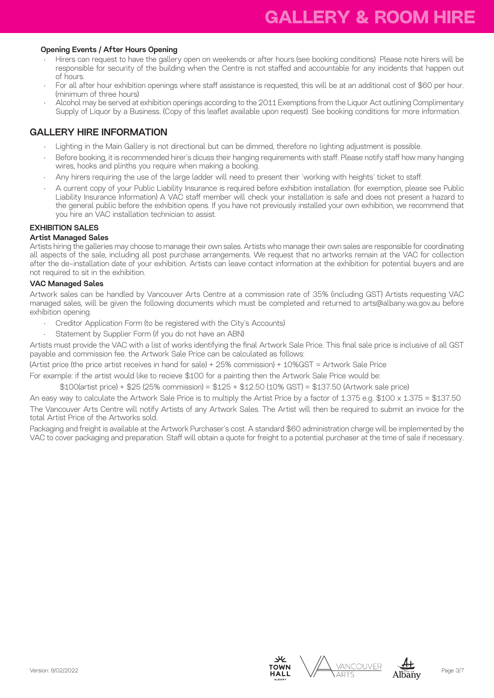#### Opening Events / After Hours Opening

- Hirers can request to have the gallery open on weekends or after hours (see booking conditions) Please note hirers will be responsible for security of the building when the Centre is not staffed and accountable for any incidents that happen out of hours.
- For all after hour exhibition openings where staff assistance is requested, this will be at an additional cost of \$60 per hour. (minimum of three hours)
- Alcohol may be served at exhibition openings according to the 2011 Exemptions from the Liquor Act outlining Complimentary Supply of Liquor by a Business. (Copy of this leaflet available upon request). See booking conditions for more information.

### GALLERY HIRE INFORMATION

- Lighting in the Main Gallery is not directional but can be dimmed, therefore no lighting adjustment is possible.
- Before booking, it is recommended hirer's dicuss their hanging requirements with staff. Please notify staff how many hanging wires, hooks and plinths you require when making a booking.
- Any hirers requiring the use of the large ladder will need to present their 'working with heights' ticket to staff.
- A current copy of your Public Liability Insurance is required before exhibition installation. (for exemption, please see Public Liability Insurance Information) A VAC staff member will check your installation is safe and does not present a hazard to the general public before the exhibition opens. If you have not previously installed your own exhibition, we recommend that you hire an VAC installation technician to assist.

#### EXHIBITION SALES

#### Artist Managed Sales

Artists hiring the galleries may choose to manage their own sales. Artists who manage their own sales are responsible for coordinating all aspects of the sale, including all post purchase arrangements. We request that no artworks remain at the VAC for collection after the de-installation date of your exhibition. Artists can leave contact information at the exhibition for potential buyers and are not required to sit in the exhibition.

#### VAC Managed Sales

Artwork sales can be handled by Vancouver Arts Centre at a commission rate of 35% (including GST) Artists requesting VAC managed sales, will be given the following documents which must be completed and returned to arts@albany.wa.gov.au before exhibition opening.

- Creditor Application Form (to be registered with the City's Accounts)
- Statement by Supplier Form (if you do not have an ABN)

Artists must provide the VAC with a list of works identifying the final Artwork Sale Price. This final sale price is inclusive of all GST payable and commission fee. the Artwork Sale Price can be calculated as follows:

(Artist price (the price artist receives in hand for sale) + 25% commission) + 10%GST = Artwork Sale Price

For example: if the artist would like to recieve \$100 for a painting then the Artwork Sale Price would be:

\$100(artist price) + \$25 (25% commission) = \$125 + \$12.50 (10% GST) = \$137.50 (Artwork sale price)

An easy way to calculate the Artwork Sale Price is to multiply the Artist Price by a factor of 1.375 e.g. \$100 x 1.375 = \$137.50 The Vancouver Arts Centre will notify Artists of any Artwork Sales. The Artist will then be required to submit an invoice for the total Artist Price of the Artworks sold.

Packaging and freight is available at the Artwork Purchaser's cost. A standard \$60 administration charge will be implemented by the VAC to cover packaging and preparation. Staff will obtain a quote for freight to a potential purchaser at the time of sale if necessary.





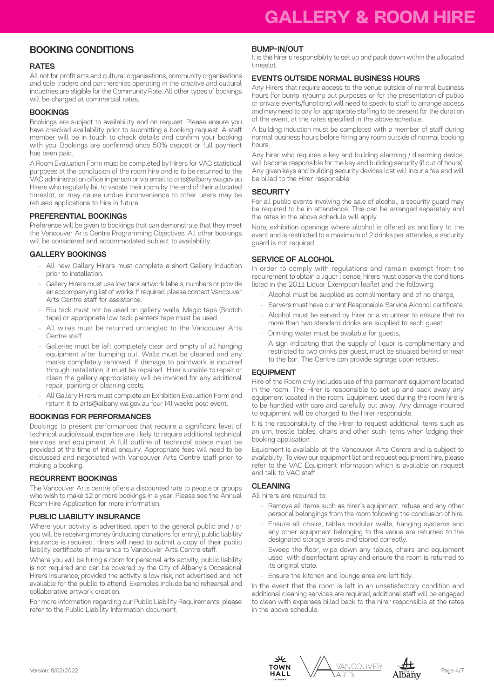## BOOKING CONDITIONS

#### **RATES**

All not for profit arts and cultural organisations, community organisations and sole traders and partnerships operating in the creative and cultural industries are eligible for the Community Rate. All other types of bookings will be charged at commercial rates.

#### **BOOKINGS**

Bookings are subject to availability and on request. Please ensure you have checked availability prior to submitting a booking request. A staff member will be in touch to check details and confirm your booking with you. Bookings are confirmed once 50% deposit or full payment has been paid.

A Room Evaluation Form must be completed by Hirers for VAC statistical purposes at the conclusion of the room hire and is to be returned to the VAC administration office in person or via email to arts@albany.wa.gov.au Hirers who regularly fail to vacate their room by the end of their allocated timeslot, or may cause undue inconvenience to other users may be refused applications to hire in future.

#### PREFERENTIAL BOOKINGS

Preference will be given to bookings that can demonstrate that they meet the Vancouver Arts Centre Programming Objectives. All other bookings will be considered and accommodated subject to availability.

#### GALLERY BOOKINGS

- All new Gallery Hirers must complete a short Gallery Induction prior to installation.
- Gallery Hirers must use low tack artwork labels, numbers or provide an accompanying list of works. If required, please contact Vancouver Arts Centre staff for assistance.
- Blu tack must not be used on gallery walls. Magic tape (Scotch tape) or appropriate low tack painters tape must be used.
- All wires must be returned untangled to the Vancouver Arts Centre staff.
- Galleries must be left completely clear and empty of all hanging equipment after bumping out. Walls must be cleaned and any marks completely removed. If damage to paintwork is incurred through installation, it must be repaired. Hirer's unable to repair or clean the gallery appropriately will be invoiced for any additional repair, painting or cleaning costs.
- All Gallery Hirers must complete an Exhibition Evaluation Form and return it to arts@albany.wa.gov.au four (4) weeks post event.

#### BOOKINGS FOR PERFORMANCES

Bookings to present performances that require a significant level of technical audio/visual expertise are likely to require additional technical services and equipment. A full outline of technical specs must be provided at the time of initial enquiry. Appropriate fees will need to be discussed and negotiated with Vancouver Arts Centre staff prior to making a booking.

#### RECURRENT BOOKINGS

The Vancouver Arts centre offers a discounted rate to people or groups who wish to make 12 or more bookings in a year. Please see the Annual Room Hire Application for more information.

#### PUBLIC LIABILITY INSURANCE

Where your activity is advertised, open to the general public and / or you will be receiving money (including donations for entry), public liability insurance is required. Hirers will need to submit a copy of their public liability certificate of Insurance to Vancouver Arts Centre staff.

Where you will be hiring a room for personal arts activity, public liability is not required and can be covered by the City of Albany's Occasional Hirers Insurance, provided the activity is low risk, not advertised and not available for the public to attend. Examples include band rehearsal and collaborative artwork creation.

For more information regarding our Public Liability Requirements, please refer to the Public Liability Information document.

#### BUMP-IN/OUT

It is the hirer's responsibility to set up and pack down within the allocated timeslot.

#### EVENTS OUTSIDE NORMAL BUSINESS HOURS

Any Hirers that require access to the venue outside of normal business hours (for bump in/bump out purposes or for the presentation of public or private events/functions) will need to speak to staff to arrange access and may need to pay for appropriate staffing to be present for the duration of the event, at the rates specified in the above schedule.

A building induction must be completed with a member of staff during normal business hours before hiring any room outside of normal booking hours.

Any hirer who requires a key and building alarming / disarming device, will become responsible for the key and building security (if out of hours). Any given keys and building security devices lost will incur a fee and will be billed to the Hirer responsible.

#### **SECURITY**

For all public events involving the sale of alcohol, a security guard may be required to be in attendance. This can be arranged separately and the rates in the above schedule will apply.

Note; exhibition openings where alcohol is offered as ancillary to the event and is restricted to a maximum of 2 drinks per attendee, a security guard is not required.

#### SERVICE OF ALCOHOL

In order to comply with regulations and remain exempt from the requirement to obtain a liquor licence, hirers must observe the conditions listed in the 2011 Liquor Exemption leaflet and the following:

- Alcohol must be supplied as complimentary and of no charge,
- Servers must have current Responsible Service Alcohol certificate,
- Alcohol must be served by hirer or a volunteer to ensure that no more than two standard drinks are supplied to each quest,
- Drinking water must be available for guests,
- A sign indicating that the supply of liquor is complimentary and restricted to two drinks per guest, must be situated behind or near to the bar. The Centre can provide signage upon request.

#### EQUIPMENT

Hire of the Room only includes use of the permanent equipment located in the room. The Hirer is responsible to set up and pack away any equipment located in the room. Equipment used during the room hire is to be handled with care and carefully put away. Any damage incurred to equipment will be charged to the Hirer responsible.

It is the responsibility of the Hirer to request additional items such as an urn, trestle tables, chairs and other such items when lodging their booking application.

Equipment is available at the Vancouver Arts Centre and is subject to availability. To view our equipment list and request equipment hire, please refer to the VAC Equipment Information which is available on request and talk to VAC staff.

#### CLEANING

All hirers are required to:

- Remove all items such as hirer's equipment, refuse and any other personal belongings from the room following the conclusion of hire.
- Ensure all chairs, tables modular walls, hanging systems and any other equipment belonging to the venue are returned to the designated storage areas and stored correctly.
- Sweep the floor, wipe down any tables, chairs and equipment used with disenfectant spray and ensure the room is returned to its original state.
- Ensure the kitchen and lounge area are left tidy.

In the event that the room is left in an unsatisfactory condition and additional cleaning services are required, additional staff will be engaged to clean with expenses billed back to the hirer responsible at the rates in the above schedule.



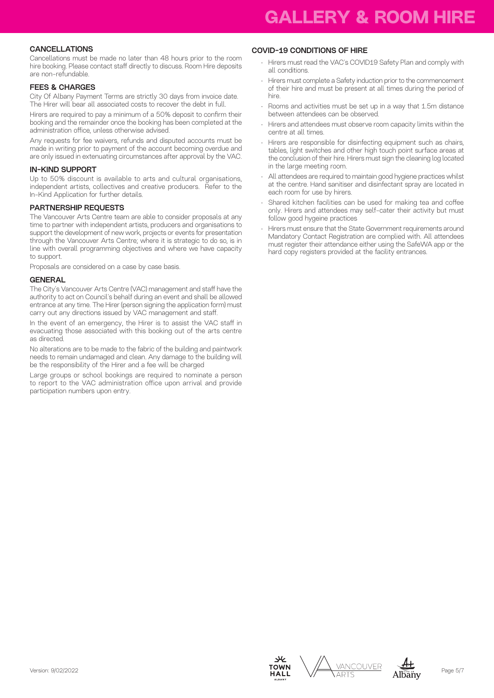#### CANCELLATIONS

Cancellations must be made no later than 48 hours prior to the room hire booking. Please contact staff directly to discuss. Room Hire deposits are non-refundable.

#### FEES & CHARGES

City Of Albany Payment Terms are strictly 30 days from invoice date. The Hirer will bear all associated costs to recover the debt in full.

Hirers are required to pay a minimum of a 50% deposit to confirm their booking and the remainder once the booking has been completed at the administration office, unless otherwise advised.

Any requests for fee waivers, refunds and disputed accounts must be made in writing prior to payment of the account becoming overdue and are only issued in extenuating circumstances after approval by the VAC.

#### IN-KIND SUPPORT

Up to 50% discount is available to arts and cultural organisations, independent artists, collectives and creative producers. Refer to the In-Kind Application for further details.

#### PARTNERSHIP REQUESTS

The Vancouver Arts Centre team are able to consider proposals at any time to partner with independent artists, producers and organisations to support the development of new work, projects or events for presentation through the Vancouver Arts Centre; where it is strategic to do so, is in line with overall programming objectives and where we have capacity to support.

Proposals are considered on a case by case basis.

#### **GENERAL**

The City's Vancouver Arts Centre (VAC) management and staff have the authority to act on Council's behalf during an event and shall be allowed entrance at any time. The Hirer (person signing the application form) must carry out any directions issued by VAC management and staff.

In the event of an emergency, the Hirer is to assist the VAC staff in evacuating those associated with this booking out of the arts centre as directed.

No alterations are to be made to the fabric of the building and paintwork needs to remain undamaged and clean. Any damage to the building will be the responsibility of the Hirer and a fee will be charged

Large groups or school bookings are required to nominate a person to report to the VAC administration office upon arrival and provide participation numbers upon entry.

#### COVID-19 CONDITIONS OF HIRE

- Hirers must read the VAC's COVID19 Safety Plan and comply with all conditions.
- Hirers must complete a Safety induction prior to the commencement of their hire and must be present at all times during the period of hire.
- Rooms and activities must be set up in a way that 1.5m distance between attendees can be observed.
- Hirers and attendees must observe room capacity limits within the centre at all times.
- Hirers are responsible for disinfecting equipment such as chairs, tables, light switches and other high touch point surface areas at the conclusion of their hire. Hirers must sign the cleaning log located in the large meeting room.
- All attendees are required to maintain good hygiene practices whilst at the centre. Hand sanitiser and disinfectant spray are located in each room for use by hirers.
- Shared kitchen facilities can be used for making tea and coffee only. Hirers and attendees may self-cater their activity but must follow good hygeine practices
- Hirers must ensure that the State Government requirements around Mandatory Contact Registration are complied with. All attendees must register their attendance either using the SafeWA app or the hard copy registers provided at the facility entrances.







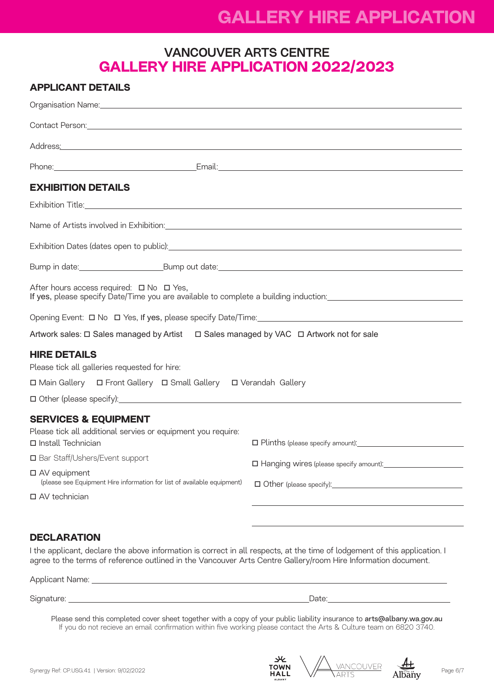# **GALLERY HIRE APPLICATION**

# VANCOUVER ARTS CENTRE **GALLERY HIRE APPLICATION 2022/2023**

| <b>APPLICANT DETAILS</b>                                                                                                                                                                                                                                                    |                                                                                                                 |
|-----------------------------------------------------------------------------------------------------------------------------------------------------------------------------------------------------------------------------------------------------------------------------|-----------------------------------------------------------------------------------------------------------------|
|                                                                                                                                                                                                                                                                             |                                                                                                                 |
| Contact Person: New York Contact Person: New York Contact Person: New York Contact Person: New York Contact Person:                                                                                                                                                         |                                                                                                                 |
| Address <u>:</u> Address: Address: Address: Address: Address: Address: Address: Address: Address: Address: Address: Address: Address: Address: Address: Address: Address: Address: Address: Address: Address: Address: Address: Addr                                        |                                                                                                                 |
|                                                                                                                                                                                                                                                                             |                                                                                                                 |
| <b>EXHIBITION DETAILS</b>                                                                                                                                                                                                                                                   |                                                                                                                 |
|                                                                                                                                                                                                                                                                             |                                                                                                                 |
| Name of Artists involved in Exhibition:<br>Service of Artists involved in Exhibition:<br>Service of Artists involved in Exhibition:                                                                                                                                         |                                                                                                                 |
|                                                                                                                                                                                                                                                                             |                                                                                                                 |
|                                                                                                                                                                                                                                                                             |                                                                                                                 |
| After hours access required: $\Box$ No $\Box$ Yes,<br>If yes, please specify Date/Time you are available to complete a building induction: _________________________                                                                                                        |                                                                                                                 |
|                                                                                                                                                                                                                                                                             |                                                                                                                 |
| Artwork sales: □ Sales managed by Artist □ Sales managed by VAC □ Artwork not for sale                                                                                                                                                                                      |                                                                                                                 |
| <b>HIRE DETAILS</b><br>Please tick all galleries requested for hire:<br>□ Main Gallery □ Front Gallery □ Small Gallery □ Verandah Gallery                                                                                                                                   |                                                                                                                 |
|                                                                                                                                                                                                                                                                             |                                                                                                                 |
| <b>SERVICES &amp; EQUIPMENT</b><br>Please tick all additional servies or equipment you require:<br>□ Install Technician<br>□ Bar Staff/Ushers/Event support<br>□ AV equipment<br>(please see Equipment Hire information for list of available equipment)<br>□ AV technician | $\square$ Plinths (please specify amount): $\square$<br>□ Other (please specify): <u>2000 magnetic contract</u> |

## **DECLARATION**

I the applicant, declare the above information is correct in all respects, at the time of lodgement of this application. I agree to the terms of reference outlined in the Vancouver Arts Centre Gallery/room Hire Information document.

Applicant Name: Signature: Date:

Please send this completed cover sheet together with a copy of your public liability insurance to arts@albany.wa.gov.au If you do not recieve an email confirmation within five working please contact the Arts & Culture team on 6820 3740.